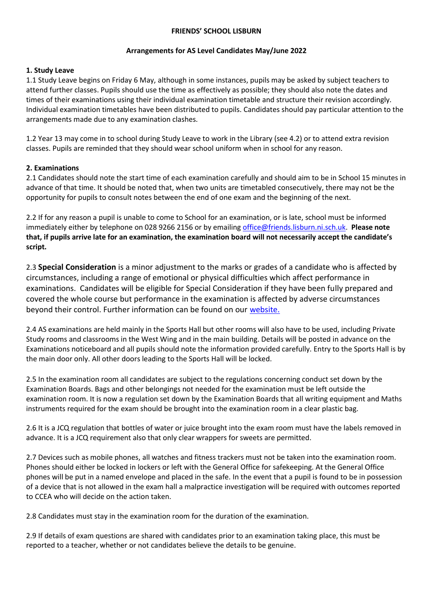### **FRIENDS' SCHOOL LISBURN**

### **Arrangements for AS Level Candidates May/June 2022**

### **1. Study Leave**

1.1 Study Leave begins on Friday 6 May, although in some instances, pupils may be asked by subject teachers to attend further classes. Pupils should use the time as effectively as possible; they should also note the dates and times of their examinations using their individual examination timetable and structure their revision accordingly. Individual examination timetables have been distributed to pupils. Candidates should pay particular attention to the arrangements made due to any examination clashes.

1.2 Year 13 may come in to school during Study Leave to work in the Library (see 4.2) or to attend extra revision classes. Pupils are reminded that they should wear school uniform when in school for any reason.

# **2. Examinations**

2.1 Candidates should note the start time of each examination carefully and should aim to be in School 15 minutes in advance of that time. It should be noted that, when two units are timetabled consecutively, there may not be the opportunity for pupils to consult notes between the end of one exam and the beginning of the next.

2.2 If for any reason a pupil is unable to come to School for an examination, or is late, school must be informed immediately either by telephone on 028 9266 2156 or by emailing [office@friends.lisburn.ni.sch.uk.](mailto:office@friends.lisburn.ni.sch.uk) **Please note that, if pupils arrive late for an examination, the examination board will not necessarily accept the candidate's script.**

2.3 **Special Consideration** is a minor adjustment to the marks or grades of a candidate who is affected by circumstances, including a range of emotional or physical difficulties which affect performance in examinations. Candidates will be eligible for Special Consideration if they have been fully prepared and covered the whole course but performance in the examination is affected by adverse circumstances [b](https://www.friendsschoollisburn.org.uk/index.php/school-life/academic/examinations/external)eyond their control. Further information can be found on our [website.](https://www.friendsschoollisburn.org.uk/index.php/school-life/academic/examinations/external) 

2.4 AS examinations are held mainly in the Sports Hall but other rooms will also have to be used, including Private Study rooms and classrooms in the West Wing and in the main building. Details will be posted in advance on the Examinations noticeboard and all pupils should note the information provided carefully. Entry to the Sports Hall is by the main door only. All other doors leading to the Sports Hall will be locked.

2.5 In the examination room all candidates are subject to the regulations concerning conduct set down by the Examination Boards. Bags and other belongings not needed for the examination must be left outside the examination room. It is now a regulation set down by the Examination Boards that all writing equipment and Maths instruments required for the exam should be brought into the examination room in a clear plastic bag.

2.6 It is a JCQ regulation that bottles of water or juice brought into the exam room must have the labels removed in advance. It is a JCQ requirement also that only clear wrappers for sweets are permitted.

2.7 Devices such as mobile phones, all watches and fitness trackers must not be taken into the examination room. Phones should either be locked in lockers or left with the General Office for safekeeping. At the General Office phones will be put in a named envelope and placed in the safe. In the event that a pupil is found to be in possession of a device that is not allowed in the exam hall a malpractice investigation will be required with outcomes reported to CCEA who will decide on the action taken.

2.8 Candidates must stay in the examination room for the duration of the examination.

2.9 If details of exam questions are shared with candidates prior to an examination taking place, this must be reported to a teacher, whether or not candidates believe the details to be genuine.